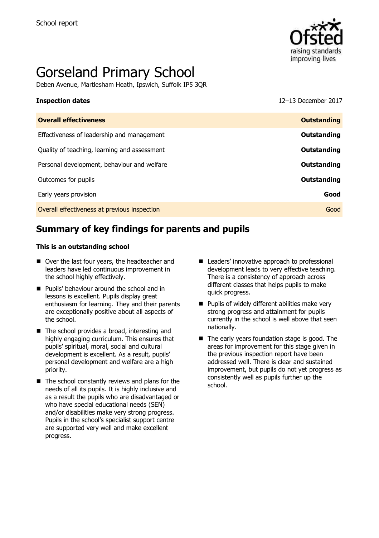

# Gorseland Primary School

Deben Avenue, Martlesham Heath, Ipswich, Suffolk IP5 3QR

**Inspection dates** 12–13 December 2017

| <b>Overall effectiveness</b>                 | <b>Outstanding</b> |
|----------------------------------------------|--------------------|
| Effectiveness of leadership and management   | Outstanding        |
| Quality of teaching, learning and assessment | Outstanding        |
| Personal development, behaviour and welfare  | Outstanding        |
| Outcomes for pupils                          | Outstanding        |
| Early years provision                        | Good               |
| Overall effectiveness at previous inspection | Good               |
|                                              |                    |

# **Summary of key findings for parents and pupils**

#### **This is an outstanding school**

- Over the last four years, the headteacher and leaders have led continuous improvement in the school highly effectively.
- **Pupils' behaviour around the school and in** lessons is excellent. Pupils display great enthusiasm for learning. They and their parents are exceptionally positive about all aspects of the school.
- The school provides a broad, interesting and highly engaging curriculum. This ensures that pupils' spiritual, moral, social and cultural development is excellent. As a result, pupils' personal development and welfare are a high priority.
- $\blacksquare$  The school constantly reviews and plans for the needs of all its pupils. It is highly inclusive and as a result the pupils who are disadvantaged or who have special educational needs (SEN) and/or disabilities make very strong progress. Pupils in the school's specialist support centre are supported very well and make excellent progress.
- Leaders' innovative approach to professional development leads to very effective teaching. There is a consistency of approach across different classes that helps pupils to make quick progress.
- $\blacksquare$  Pupils of widely different abilities make very strong progress and attainment for pupils currently in the school is well above that seen nationally.
- The early years foundation stage is good. The areas for improvement for this stage given in the previous inspection report have been addressed well. There is clear and sustained improvement, but pupils do not yet progress as consistently well as pupils further up the school.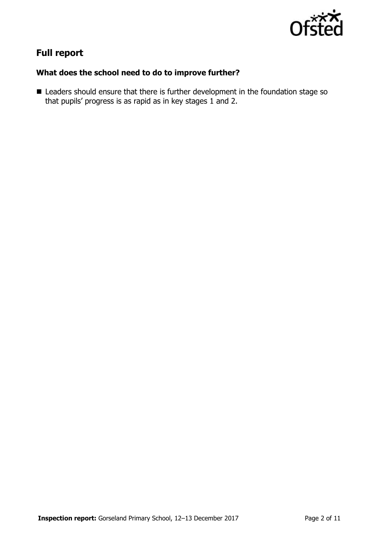

# **Full report**

### **What does the school need to do to improve further?**

■ Leaders should ensure that there is further development in the foundation stage so that pupils' progress is as rapid as in key stages  $1$  and 2.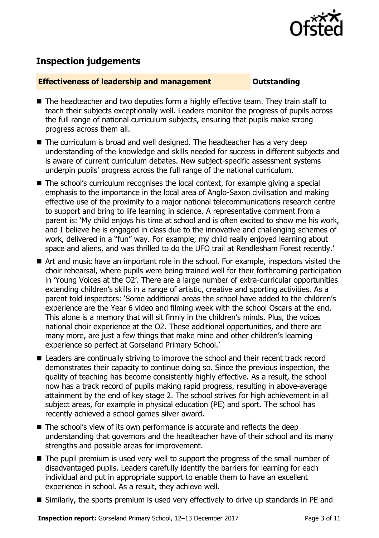

# **Inspection judgements**

#### **Effectiveness of leadership and management Cultum Outstanding**

- The headteacher and two deputies form a highly effective team. They train staff to teach their subjects exceptionally well. Leaders monitor the progress of pupils across the full range of national curriculum subjects, ensuring that pupils make strong progress across them all.
- The curriculum is broad and well designed. The headteacher has a very deep understanding of the knowledge and skills needed for success in different subjects and is aware of current curriculum debates. New subject-specific assessment systems underpin pupils' progress across the full range of the national curriculum.
- The school's curriculum recognises the local context, for example giving a special emphasis to the importance in the local area of Anglo-Saxon civilisation and making effective use of the proximity to a major national telecommunications research centre to support and bring to life learning in science. A representative comment from a parent is: 'My child enjoys his time at school and is often excited to show me his work, and I believe he is engaged in class due to the innovative and challenging schemes of work, delivered in a "fun" way. For example, my child really enjoyed learning about space and aliens, and was thrilled to do the UFO trail at Rendlesham Forest recently.'
- Art and music have an important role in the school. For example, inspectors visited the choir rehearsal, where pupils were being trained well for their forthcoming participation in 'Young Voices at the O2'. There are a large number of extra-curricular opportunities extending children's skills in a range of artistic, creative and sporting activities. As a parent told inspectors: 'Some additional areas the school have added to the children's experience are the Year 6 video and filming week with the school Oscars at the end. This alone is a memory that will sit firmly in the children's minds. Plus, the voices national choir experience at the O2. These additional opportunities, and there are many more, are just a few things that make mine and other children's learning experience so perfect at Gorseland Primary School.'
- Leaders are continually striving to improve the school and their recent track record demonstrates their capacity to continue doing so. Since the previous inspection, the quality of teaching has become consistently highly effective. As a result, the school now has a track record of pupils making rapid progress, resulting in above-average attainment by the end of key stage 2. The school strives for high achievement in all subject areas, for example in physical education (PE) and sport. The school has recently achieved a school games silver award.
- The school's view of its own performance is accurate and reflects the deep understanding that governors and the headteacher have of their school and its many strengths and possible areas for improvement.
- The pupil premium is used very well to support the progress of the small number of disadvantaged pupils. Leaders carefully identify the barriers for learning for each individual and put in appropriate support to enable them to have an excellent experience in school. As a result, they achieve well.
- Similarly, the sports premium is used very effectively to drive up standards in PE and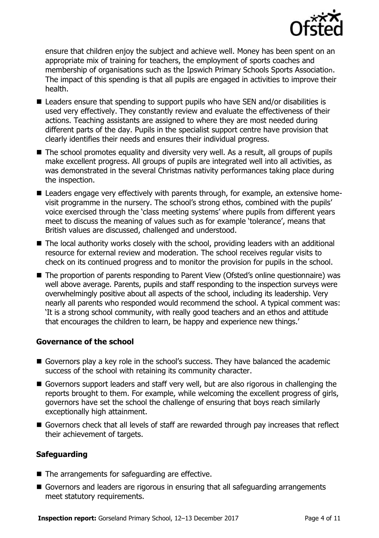

ensure that children enjoy the subject and achieve well. Money has been spent on an appropriate mix of training for teachers, the employment of sports coaches and membership of organisations such as the Ipswich Primary Schools Sports Association. The impact of this spending is that all pupils are engaged in activities to improve their health.

- Leaders ensure that spending to support pupils who have SEN and/or disabilities is used very effectively. They constantly review and evaluate the effectiveness of their actions. Teaching assistants are assigned to where they are most needed during different parts of the day. Pupils in the specialist support centre have provision that clearly identifies their needs and ensures their individual progress.
- The school promotes equality and diversity very well. As a result, all groups of pupils make excellent progress. All groups of pupils are integrated well into all activities, as was demonstrated in the several Christmas nativity performances taking place during the inspection.
- Leaders engage very effectively with parents through, for example, an extensive homevisit programme in the nursery. The school's strong ethos, combined with the pupils' voice exercised through the 'class meeting systems' where pupils from different years meet to discuss the meaning of values such as for example 'tolerance', means that British values are discussed, challenged and understood.
- The local authority works closely with the school, providing leaders with an additional resource for external review and moderation. The school receives regular visits to check on its continued progress and to monitor the provision for pupils in the school.
- The proportion of parents responding to Parent View (Ofsted's online questionnaire) was well above average. Parents, pupils and staff responding to the inspection surveys were overwhelmingly positive about all aspects of the school, including its leadership. Very nearly all parents who responded would recommend the school. A typical comment was: 'It is a strong school community, with really good teachers and an ethos and attitude that encourages the children to learn, be happy and experience new things.'

#### **Governance of the school**

- Governors play a key role in the school's success. They have balanced the academic success of the school with retaining its community character.
- Governors support leaders and staff very well, but are also rigorous in challenging the reports brought to them. For example, while welcoming the excellent progress of girls, governors have set the school the challenge of ensuring that boys reach similarly exceptionally high attainment.
- Governors check that all levels of staff are rewarded through pay increases that reflect their achievement of targets.

### **Safeguarding**

- $\blacksquare$  The arrangements for safeguarding are effective.
- Governors and leaders are rigorous in ensuring that all safeguarding arrangements meet statutory requirements.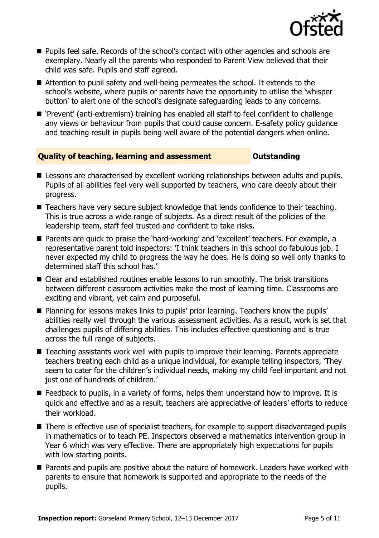

- **Pupils feel safe. Records of the school's contact with other agencies and schools are** exemplary. Nearly all the parents who responded to Parent View believed that their child was safe. Pupils and staff agreed.
- Attention to pupil safety and well-being permeates the school. It extends to the school's website, where pupils or parents have the opportunity to utilise the 'whisper button' to alert one of the school's designate safeguarding leads to any concerns.
- 'Prevent' (anti-extremism) training has enabled all staff to feel confident to challenge any views or behaviour from pupils that could cause concern. E-safety policy guidance and teaching result in pupils being well aware of the potential dangers when online.

#### **Quality of teaching, learning and assessment Outstanding**

- **E** Lessons are characterised by excellent working relationships between adults and pupils. Pupils of all abilities feel very well supported by teachers, who care deeply about their progress.
- Teachers have very secure subject knowledge that lends confidence to their teaching. This is true across a wide range of subjects. As a direct result of the policies of the leadership team, staff feel trusted and confident to take risks.
- Parents are quick to praise the 'hard-working' and 'excellent' teachers. For example, a representative parent told inspectors: 'I think teachers in this school do fabulous job. I never expected my child to progress the way he does. He is doing so well only thanks to determined staff this school has.'
- Clear and established routines enable lessons to run smoothly. The brisk transitions between different classroom activities make the most of learning time. Classrooms are exciting and vibrant, yet calm and purposeful.
- **Planning for lessons makes links to pupils' prior learning. Teachers know the pupils'** abilities really well through the various assessment activities. As a result, work is set that challenges pupils of differing abilities. This includes effective questioning and is true across the full range of subjects.
- Teaching assistants work well with pupils to improve their learning. Parents appreciate teachers treating each child as a unique individual, for example telling inspectors, 'They seem to cater for the children's individual needs, making my child feel important and not just one of hundreds of children.'
- $\blacksquare$  Feedback to pupils, in a variety of forms, helps them understand how to improve. It is quick and effective and as a result, teachers are appreciative of leaders' efforts to reduce their workload.
- There is effective use of specialist teachers, for example to support disadvantaged pupils in mathematics or to teach PE. Inspectors observed a mathematics intervention group in Year 6 which was very effective. There are appropriately high expectations for pupils with low starting points.
- **Parents and pupils are positive about the nature of homework. Leaders have worked with** parents to ensure that homework is supported and appropriate to the needs of the pupils.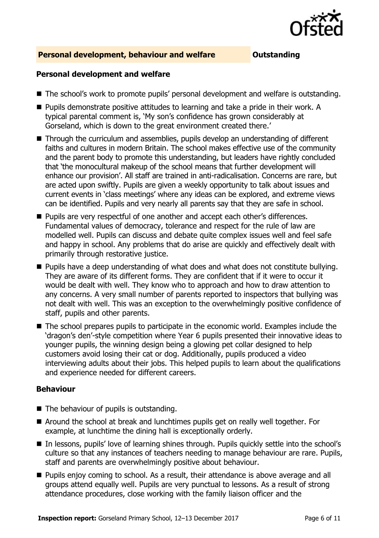

#### **Personal development, behaviour and welfare <b>COU** Outstanding

#### **Personal development and welfare**

- The school's work to promote pupils' personal development and welfare is outstanding.
- Pupils demonstrate positive attitudes to learning and take a pride in their work. A typical parental comment is, 'My son's confidence has grown considerably at Gorseland, which is down to the great environment created there.'
- Through the curriculum and assemblies, pupils develop an understanding of different faiths and cultures in modern Britain. The school makes effective use of the community and the parent body to promote this understanding, but leaders have rightly concluded that 'the monocultural makeup of the school means that further development will enhance our provision'. All staff are trained in anti-radicalisation. Concerns are rare, but are acted upon swiftly. Pupils are given a weekly opportunity to talk about issues and current events in 'class meetings' where any ideas can be explored, and extreme views can be identified. Pupils and very nearly all parents say that they are safe in school.
- **Pupils are very respectful of one another and accept each other's differences.** Fundamental values of democracy, tolerance and respect for the rule of law are modelled well. Pupils can discuss and debate quite complex issues well and feel safe and happy in school. Any problems that do arise are quickly and effectively dealt with primarily through restorative justice.
- **Pupils have a deep understanding of what does and what does not constitute bullying.** They are aware of its different forms. They are confident that if it were to occur it would be dealt with well. They know who to approach and how to draw attention to any concerns. A very small number of parents reported to inspectors that bullying was not dealt with well. This was an exception to the overwhelmingly positive confidence of staff, pupils and other parents.
- The school prepares pupils to participate in the economic world. Examples include the 'dragon's den'-style competition where Year 6 pupils presented their innovative ideas to younger pupils, the winning design being a glowing pet collar designed to help customers avoid losing their cat or dog. Additionally, pupils produced a video interviewing adults about their jobs. This helped pupils to learn about the qualifications and experience needed for different careers.

### **Behaviour**

- $\blacksquare$  The behaviour of pupils is outstanding.
- Around the school at break and lunchtimes pupils get on really well together. For example, at lunchtime the dining hall is exceptionally orderly.
- In lessons, pupils' love of learning shines through. Pupils quickly settle into the school's culture so that any instances of teachers needing to manage behaviour are rare. Pupils, staff and parents are overwhelmingly positive about behaviour.
- **Pupils enjoy coming to school. As a result, their attendance is above average and all** groups attend equally well. Pupils are very punctual to lessons. As a result of strong attendance procedures, close working with the family liaison officer and the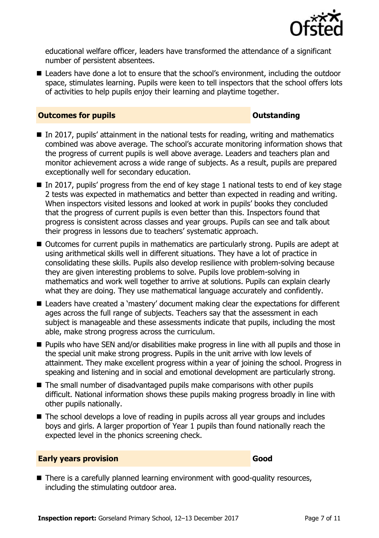

educational welfare officer, leaders have transformed the attendance of a significant number of persistent absentees.

■ Leaders have done a lot to ensure that the school's environment, including the outdoor space, stimulates learning. Pupils were keen to tell inspectors that the school offers lots of activities to help pupils enjoy their learning and playtime together.

#### **Outcomes for pupils Outstanding**

- $\blacksquare$  In 2017, pupils' attainment in the national tests for reading, writing and mathematics combined was above average. The school's accurate monitoring information shows that the progress of current pupils is well above average. Leaders and teachers plan and monitor achievement across a wide range of subjects. As a result, pupils are prepared exceptionally well for secondary education.
- $\blacksquare$  In 2017, pupils' progress from the end of key stage 1 national tests to end of key stage 2 tests was expected in mathematics and better than expected in reading and writing. When inspectors visited lessons and looked at work in pupils' books they concluded that the progress of current pupils is even better than this. Inspectors found that progress is consistent across classes and year groups. Pupils can see and talk about their progress in lessons due to teachers' systematic approach.
- Outcomes for current pupils in mathematics are particularly strong. Pupils are adept at using arithmetical skills well in different situations. They have a lot of practice in consolidating these skills. Pupils also develop resilience with problem-solving because they are given interesting problems to solve. Pupils love problem-solving in mathematics and work well together to arrive at solutions. Pupils can explain clearly what they are doing. They use mathematical language accurately and confidently.
- Leaders have created a 'mastery' document making clear the expectations for different ages across the full range of subjects. Teachers say that the assessment in each subject is manageable and these assessments indicate that pupils, including the most able, make strong progress across the curriculum.
- **Pupils who have SEN and/or disabilities make progress in line with all pupils and those in** the special unit make strong progress. Pupils in the unit arrive with low levels of attainment. They make excellent progress within a year of joining the school. Progress in speaking and listening and in social and emotional development are particularly strong.
- The small number of disadvantaged pupils make comparisons with other pupils difficult. National information shows these pupils making progress broadly in line with other pupils nationally.
- The school develops a love of reading in pupils across all year groups and includes boys and girls. A larger proportion of Year 1 pupils than found nationally reach the expected level in the phonics screening check.

### **Early years provision Good Good**

■ There is a carefully planned learning environment with good-quality resources, including the stimulating outdoor area.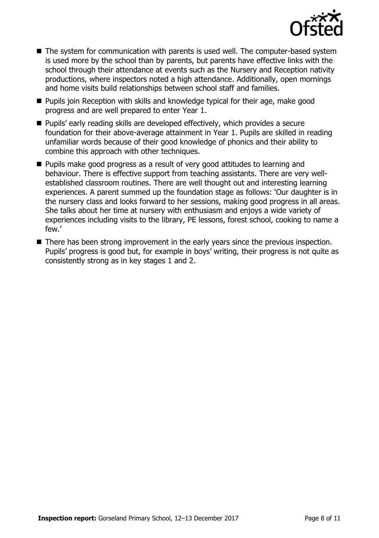

- The system for communication with parents is used well. The computer-based system is used more by the school than by parents, but parents have effective links with the school through their attendance at events such as the Nursery and Reception nativity productions, where inspectors noted a high attendance. Additionally, open mornings and home visits build relationships between school staff and families.
- **Pupils join Reception with skills and knowledge typical for their age, make good** progress and are well prepared to enter Year 1.
- Pupils' early reading skills are developed effectively, which provides a secure foundation for their above-average attainment in Year 1. Pupils are skilled in reading unfamiliar words because of their good knowledge of phonics and their ability to combine this approach with other techniques.
- **Pupils make good progress as a result of very good attitudes to learning and** behaviour. There is effective support from teaching assistants. There are very wellestablished classroom routines. There are well thought out and interesting learning experiences. A parent summed up the foundation stage as follows: 'Our daughter is in the nursery class and looks forward to her sessions, making good progress in all areas. She talks about her time at nursery with enthusiasm and enjoys a wide variety of experiences including visits to the library, PE lessons, forest school, cooking to name a few.'
- There has been strong improvement in the early years since the previous inspection. Pupils' progress is good but, for example in boys' writing, their progress is not quite as consistently strong as in key stages 1 and 2.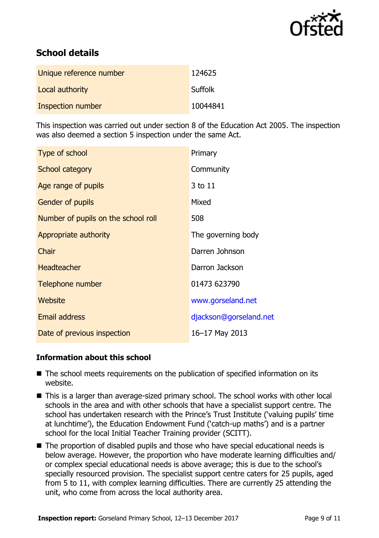

# **School details**

| Unique reference number | 124625   |
|-------------------------|----------|
| Local authority         | Suffolk  |
| Inspection number       | 10044841 |

This inspection was carried out under section 8 of the Education Act 2005. The inspection was also deemed a section 5 inspection under the same Act.

| Type of school                      | Primary                |
|-------------------------------------|------------------------|
| School category                     | Community              |
| Age range of pupils                 | 3 to 11                |
| Gender of pupils                    | Mixed                  |
| Number of pupils on the school roll | 508                    |
| Appropriate authority               | The governing body     |
| Chair                               | Darren Johnson         |
| <b>Headteacher</b>                  | Darron Jackson         |
| Telephone number                    | 01473 623790           |
| Website                             | www.gorseland.net      |
| <b>Email address</b>                | djackson@gorseland.net |
| Date of previous inspection         | 16-17 May 2013         |

### **Information about this school**

- The school meets requirements on the publication of specified information on its website.
- This is a larger than average-sized primary school. The school works with other local schools in the area and with other schools that have a specialist support centre. The school has undertaken research with the Prince's Trust Institute ('valuing pupils' time at lunchtime'), the Education Endowment Fund ('catch-up maths') and is a partner school for the local Initial Teacher Training provider (SCITT).
- The proportion of disabled pupils and those who have special educational needs is below average. However, the proportion who have moderate learning difficulties and/ or complex special educational needs is above average; this is due to the school's specially resourced provision. The specialist support centre caters for 25 pupils, aged from 5 to 11, with complex learning difficulties. There are currently 25 attending the unit, who come from across the local authority area.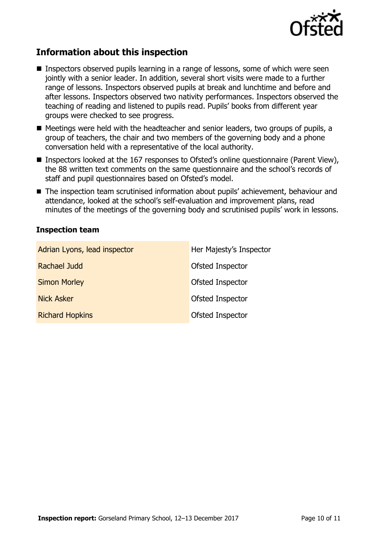

## **Information about this inspection**

- Inspectors observed pupils learning in a range of lessons, some of which were seen jointly with a senior leader. In addition, several short visits were made to a further range of lessons. Inspectors observed pupils at break and lunchtime and before and after lessons. Inspectors observed two nativity performances. Inspectors observed the teaching of reading and listened to pupils read. Pupils' books from different year groups were checked to see progress.
- Meetings were held with the headteacher and senior leaders, two groups of pupils, a group of teachers, the chair and two members of the governing body and a phone conversation held with a representative of the local authority.
- Inspectors looked at the 167 responses to Ofsted's online questionnaire (Parent View), the 88 written text comments on the same questionnaire and the school's records of staff and pupil questionnaires based on Ofsted's model.
- The inspection team scrutinised information about pupils' achievement, behaviour and attendance, looked at the school's self-evaluation and improvement plans, read minutes of the meetings of the governing body and scrutinised pupils' work in lessons.

#### **Inspection team**

| Adrian Lyons, lead inspector | Her Majesty's Inspector |
|------------------------------|-------------------------|
| Rachael Judd                 | Ofsted Inspector        |
| <b>Simon Morley</b>          | Ofsted Inspector        |
| <b>Nick Asker</b>            | Ofsted Inspector        |
| <b>Richard Hopkins</b>       | Ofsted Inspector        |